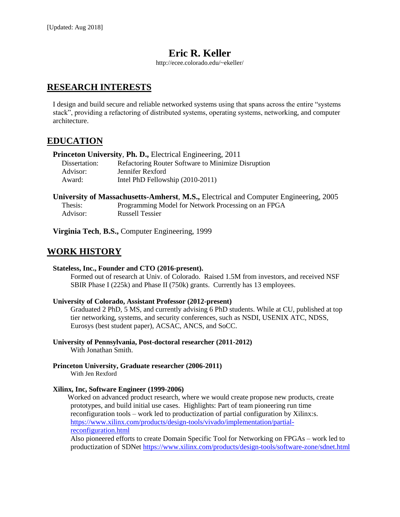# **Eric R. Keller**

http://ecee.colorado.edu/~ekeller/

## **RESEARCH INTERESTS**

I design and build secure and reliable networked systems using that spans across the entire "systems stack", providing a refactoring of distributed systems, operating systems, networking, and computer architecture.

### **EDUCATION**

| <b>Princeton University, Ph. D., Electrical Engineering, 2011</b> |                                                    |
|-------------------------------------------------------------------|----------------------------------------------------|
| Dissertation:                                                     | Refactoring Router Software to Minimize Disruption |
| Advisor:                                                          | Jennifer Rexford                                   |
| Award:                                                            | Intel PhD Fellowship (2010-2011)                   |

| <b>University of Massachusetts-Amherst, M.S., Electrical and Computer Engineering, 2005</b> |                                                     |
|---------------------------------------------------------------------------------------------|-----------------------------------------------------|
| Thesis:                                                                                     | Programming Model for Network Processing on an FPGA |
| Advisor:                                                                                    | <b>Russell Tessier</b>                              |

**Virginia Tech**, **B.S.,** Computer Engineering, 1999

## **WORK HISTORY**

#### **Stateless, Inc., Founder and CTO (2016-present).**

Formed out of research at Univ. of Colorado. Raised 1.5M from investors, and received NSF SBIR Phase I (225k) and Phase II (750k) grants. Currently has 13 employees.

#### **University of Colorado, Assistant Professor (2012-present)**

Graduated 2 PhD, 5 MS, and currently advising 6 PhD students. While at CU, published at top tier networking, systems, and security conferences, such as NSDI, USENIX ATC, NDSS, Eurosys (best student paper), ACSAC, ANCS, and SoCC.

**University of Pennsylvania, Post-doctoral researcher (2011-2012)** With Jonathan Smith.

**Princeton University, Graduate researcher (2006-2011)** With Jen Rexford

#### **Xilinx, Inc, Software Engineer (1999-2006)**

Worked on advanced product research, where we would create propose new products, create prototypes, and build initial use cases. Highlights: Part of team pioneering run time reconfiguration tools – work led to productization of partial configuration by Xilinx:s. [https://www.xilinx.com/products/design-tools/vivado/implementation/partial](https://www.xilinx.com/products/design-tools/vivado/implementation/partial-reconfiguration.html)[reconfiguration.html](https://www.xilinx.com/products/design-tools/vivado/implementation/partial-reconfiguration.html)

Also pioneered efforts to create Domain Specific Tool for Networking on FPGAs – work led to productization of SDNet<https://www.xilinx.com/products/design-tools/software-zone/sdnet.html>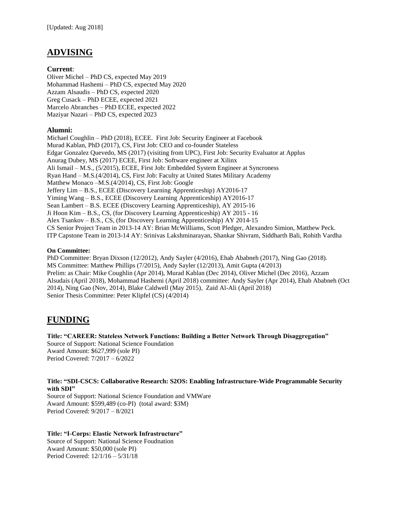# **ADVISING**

#### **Current**:

Oliver Michel – PhD CS, expected May 2019 Mohammad Hashemi – PhD CS, expected May 2020 Azzam Alsaudis – PhD CS, expected 2020 Greg Cusack – PhD ECEE, expected 2021 Marcelo Abranches – PhD ECEE, expected 2022 Maziyar Nazari – PhD CS, expected 2023

#### **Alumni:**

Michael Coughlin – PhD (2018), ECEE. First Job: Security Engineer at Facebook Murad Kablan, PhD (2017), CS, First Job: CEO and co-founder Stateless Edgar Gonzalez Quevedo, MS (2017) (visiting from UPC), First Job: Security Evaluator at Applus Anurag Dubey, MS (2017) ECEE, First Job: Software engineer at Xilinx Ali Ismail – M.S., (5/2015), ECEE, First Job: Embedded System Engineer at Syncroness Ryan Hand – M.S.(4/2014), CS, First Job: Faculty at United States Military Academy Matthew Monaco –M.S.(4/2014), CS, First Job: Google Jeffery Lim – B.S., ECEE (Discovery Learning Apprenticeship) AY2016-17 Yiming Wang – B.S., ECEE (Discovery Learning Apprenticeship) AY2016-17 Sean Lambert – B.S. ECEE (Discovery Learning Apprenticeship), AY 2015-16 Ji Hoon Kim – B.S., CS, (for Discovery Learning Apprenticeship) AY 2015 - 16 Alex Tsankov – B.S., CS, (for Discovery Learning Apprenticeship) AY 2014-15 CS Senior Project Team in 2013-14 AY: Brian McWilliams, Scott Pledger, Alexandro Simion, Matthew Peck. ITP Capstone Team in 2013-14 AY: Srinivas Lakshminarayan, Shankar Shivram, Siddharth Bali, Rohith Vardha

#### **On Committee:**

PhD Committee: Bryan Dixson (12/2012), Andy Sayler (4/2016), Ehab Ababneh (2017), Ning Gao (2018). MS Committee: Matthew Phillips (7/2015), Andy Sayler (12/2013), Amit Gupta (4/2013) Prelim: as Chair: Mike Coughlin (Apr 2014), Murad Kablan (Dec 2014), Oliver Michel (Dec 2016), Azzam Alsudais (April 2018), Mohammad Hashemi (April 2018) committee: Andy Sayler (Apr 2014), Ehab Ababneh (Oct 2014), Ning Gao (Nov, 2014), Blake Caldwell (May 2015), Zaid Al-Ali (April 2018) Senior Thesis Committee: Peter Klipfel (CS) (4/2014)

# **FUNDING**

**Title: "CAREER: Stateless Network Functions: Building a Better Network Through Disaggregation"** Source of Support: National Science Foundation Award Amount: \$627,999 (sole PI) Period Covered: 7/2017 – 6/2022

#### **Title: "SDI-CSCS: Collaborative Research: S2OS: Enabling Infrastructure-Wide Programmable Security with SDI"**

Source of Support: National Science Foundation and VMWare Award Amount: \$599,489 (co-PI) (total award: \$3M) Period Covered: 9/2017 – 8/2021

#### **Title: "I-Corps: Elastic Network Infrastructure"** Source of Support: National Science Foudnation Award Amount: \$50,000 (sole PI) Period Covered: 12/1/16 – 5/31/18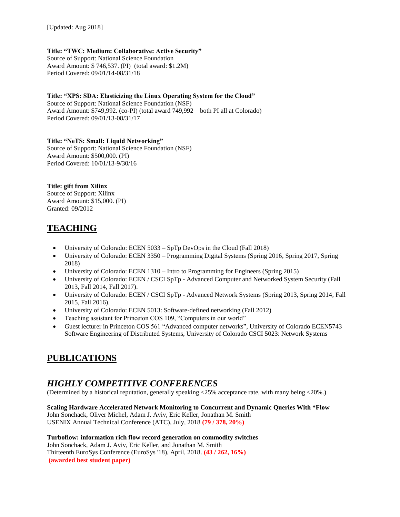#### **Title: "TWC: Medium: Collaborative: Active Security"**

Source of Support: National Science Foundation Award Amount: \$ 746,537. (PI) (total award: \$1.2M) Period Covered: 09/01/14-08/31/18

**Title: "XPS: SDA: Elasticizing the Linux Operating System for the Cloud"**  Source of Support: National Science Foundation (NSF) Award Amount: \$749,992. (co-PI) (total award 749,992 – both PI all at Colorado) Period Covered: 09/01/13-08/31/17

**Title: "NeTS: Small: Liquid Networking"** Source of Support: National Science Foundation (NSF) Award Amount: \$500,000. (PI) Period Covered: 10/01/13-9/30/16

#### **Title: gift from Xilinx**

Source of Support: Xilinx Award Amount: \$15,000. (PI) Granted: 09/2012

# **TEACHING**

- University of Colorado: ECEN 5033 SpTp DevOps in the Cloud (Fall 2018)
- University of Colorado: ECEN 3350 Programming Digital Systems (Spring 2016, Spring 2017, Spring 2018)
- University of Colorado: ECEN 1310 Intro to Programming for Engineers (Spring 2015)
- University of Colorado: ECEN / CSCI SpTp Advanced Computer and Networked System Security (Fall 2013, Fall 2014, Fall 2017).
- University of Colorado: ECEN / CSCI SpTp Advanced Network Systems (Spring 2013, Spring 2014, Fall 2015, Fall 2016).
- University of Colorado: ECEN 5013: Software-defined networking (Fall 2012)
- Teaching assistant for Princeton COS 109, "Computers in our world"
- Guest lecturer in Princeton COS 561 "Advanced computer networks", University of Colorado ECEN5743 Software Engineering of Distributed Systems, University of Colorado CSCI 5023: Network Systems

# **PUBLICATIONS**

## *HIGHLY COMPETITIVE CONFERENCES*

(Determined by a historical reputation, generally speaking <25% acceptance rate, with many being <20%.)

**Scaling Hardware Accelerated Network Monitoring to Concurrent and Dynamic Queries With \*Flow** John Sonchack, Oliver Michel, Adam J. Aviv, Eric Keller, Jonathan M. Smith USENIX Annual Technical Conference (ATC), July, 2018 **(79 / 378, 20%)**

**Turboflow: information rich flow record generation on commodity switches** John Sonchack, Adam J. Aviv, Eric Keller, and Jonathan M. Smith Thirteenth EuroSys Conference (EuroSys '18), April, 2018. **(43 / 262, 16%) (awarded best student paper)**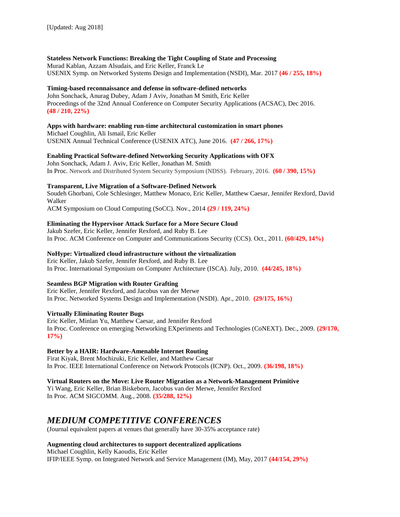#### **Stateless Network Functions: Breaking the Tight Coupling of State and Processing**

Murad Kablan, Azzam Alsudais, and Eric Keller, Franck Le USENIX Symp. on Networked Systems Design and Implementation (NSDI), Mar. 2017 **(46 / 255, 18%)**

#### **Timing-based reconnaissance and defense in software-defined networks**

John Sonchack, Anurag Dubey, Adam J Aviv, Jonathan M Smith, Eric Keller Proceedings of the 32nd Annual Conference on Computer Security Applications (ACSAC), Dec 2016. **(48 / 210, 22%)**

#### **Apps with hardware: enabling run-time architectural customization in smart phones**

Michael Coughlin, Ali Ismail, Eric Keller USENIX Annual Technical Conference (USENIX ATC), June 2016. **(47 / 266, 17%)**

#### **Enabling Practical Software-defined Networking Security Applications with OFX**

John Sonchack, Adam J. Aviv, Eric Keller, Jonathan M. Smith In Proc. Network and Distributed System Security Symposium (NDSS). February, 2016. **(60 / 390, 15%)**

#### **Transparent, Live Migration of a Software-Defined Network**

Soudeh Ghorbani, Cole Schlesinger, Matthew Monaco, Eric Keller, Matthew Caesar, Jennifer Rexford, David Walker

ACM Symposium on Cloud Computing (SoCC). Nov., 2014 **(29 / 119, 24%)**

#### **Eliminating the Hypervisor Attack Surface for a More Secure Cloud**

Jakub Szefer, Eric Keller, Jennifer Rexford, and Ruby B. Lee In Proc. ACM Conference on Computer and Communications Security (CCS). Oct., 2011. **(60/429, 14%)**

#### **NoHype: Virtualized cloud infrastructure without the virtualization**

Eric Keller, Jakub Szefer, Jennifer Rexford, and Ruby B. Lee In Proc. International Symposium on Computer Architecture (ISCA). July, 2010. **(44/245, 18%)**

#### **Seamless BGP Migration with Router Grafting**

Eric Keller, Jennifer Rexford, and Jacobus van der Merwe In Proc. Networked Systems Design and Implementation (NSDI). Apr., 2010. **(29/175, 16%)**

#### **Virtually Eliminating Router Bugs**

Eric Keller, Minlan Yu, Matthew Caesar, and Jennifer Rexford In Proc. Conference on emerging Networking EXperiments and Technologies (CoNEXT). Dec., 2009. **(29/170, 17%)**

#### **Better by a HAIR: Hardware-Amenable Internet Routing**

Firat Kiyak, Brent Mochizuki, Eric Keller, and Matthew Caesar In Proc. IEEE International Conference on Network Protocols (ICNP). Oct., 2009. **(36/198, 18%)**

#### **Virtual Routers on the Move: Live Router Migration as a Network-Management Primitive**

Yi Wang, Eric Keller, Brian Biskeborn, Jacobus van der Merwe, Jennifer Rexford In Proc. ACM SIGCOMM. Aug., 2008. **(35/288, 12%)**

### *MEDIUM COMPETITIVE CONFERENCES*

(Journal equivalent papers at venues that generally have 30-35% acceptance rate)

#### **Augmenting cloud architectures to support decentralized applications**

Michael Coughlin, Kelly Kaoudis, Eric Keller IFIP/IEEE Symp. on Integrated Network and Service Management (IM), May, 2017 **(44/154, 29%)**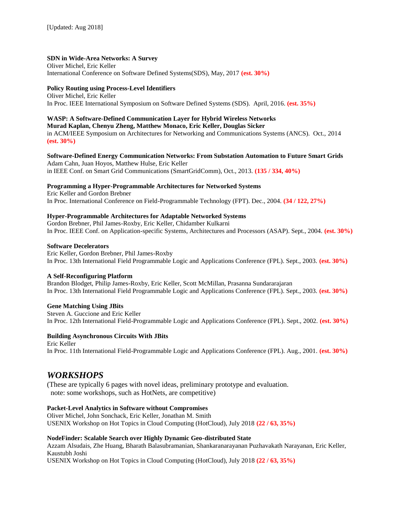### **SDN in Wide-Area Networks: A Survey**

Oliver Michel, Eric Keller International Conference on Software Defined Systems(SDS), May, 2017 **(est. 30%)**

### **Policy Routing using Process-Level Identifiers**

Oliver Michel, Eric Keller In Proc. IEEE International Symposium on Software Defined Systems (SDS). April, 2016. **(est. 35%)**

### **WASP: A Software-Defined Communication Layer for Hybrid Wireless Networks**

**Murad Kaplan, Chenyu Zheng, Matthew Monaco, Eric Keller, Douglas Sicker** in ACM/IEEE Symposium on Architectures for Networking and Communications Systems (ANCS). Oct., 2014 **(est. 30%)**

#### **Software-Defined Energy Communication Networks: From Substation Automation to Future Smart Grids** Adam Cahn, Juan Hoyos, Matthew Hulse, Eric Keller in IEEE Conf. on Smart Grid Communications (SmartGridComm), Oct., 2013. **(135 / 334, 40%)**

### **Programming a Hyper-Programmable Architectures for Networked Systems**

Eric Keller and Gordon Brebner In Proc. International Conference on Field-Programmable Technology (FPT). Dec., 2004. **(34 / 122, 27%)**

### **Hyper-Programmable Architectures for Adaptable Networked Systems**

Gordon Brebner, Phil James-Roxby, Eric Keller, Chidamber Kulkarni In Proc. IEEE Conf. on Application-specific Systems, Architectures and Processors (ASAP). Sept., 2004. **(est. 30%)**

#### **Software Decelerators**

Eric Keller, Gordon Brebner, Phil James-Roxby In Proc. 13th International Field Programmable Logic and Applications Conference (FPL). Sept., 2003. **(est. 30%)**

#### **A Self-Reconfiguring Platform**

Brandon Blodget, Philip James-Roxby, Eric Keller, Scott McMillan, Prasanna Sundararajaran In Proc. 13th International Field Programmable Logic and Applications Conference (FPL). Sept., 2003. **(est. 30%)**

#### **Gene Matching Using JBits**

Steven A. Guccione and Eric Keller In Proc. 12th International Field-Programmable Logic and Applications Conference (FPL). Sept., 2002. **(est. 30%)**

#### **Building Asynchronous Circuits With JBits**

Eric Keller In Proc. 11th International Field-Programmable Logic and Applications Conference (FPL). Aug., 2001. **(est. 30%)**

### *WORKSHOPS*

(These are typically 6 pages with novel ideas, preliminary prototype and evaluation. note: some workshops, such as HotNets, are competitive)

#### **Packet-Level Analytics in Software without Compromises**

Oliver Michel, John Sonchack, Eric Keller, Jonathan M. Smith USENIX Workshop on Hot Topics in Cloud Computing (HotCloud), July 2018 **(22 / 63, 35%)**

#### **NodeFinder: Scalable Search over Highly Dynamic Geo-distributed State**

Azzam Alsudais, Zhe Huang, Bharath Balasubramanian, Shankaranarayanan Puzhavakath Narayanan, Eric Keller, Kaustubh Joshi

USENIX Workshop on Hot Topics in Cloud Computing (HotCloud), July 2018 **(22 / 63, 35%)**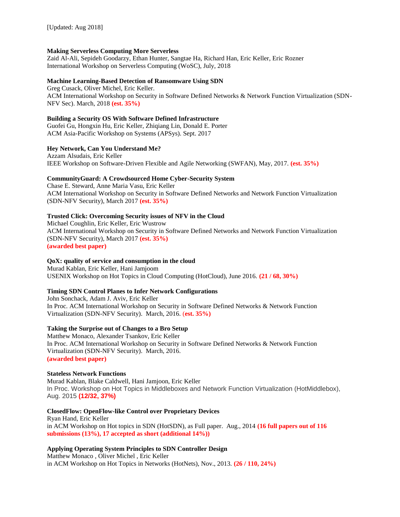#### **Making Serverless Computing More Serverless**

Zaid Al-Ali, Sepideh Goodarzy, Ethan Hunter, Sangtae Ha, Richard Han, Eric Keller, Eric Rozner International Workshop on Serverless Computing (WoSC), July, 2018

#### **Machine Learning-Based Detection of Ransomware Using SDN**

Greg Cusack, Oliver Michel, Eric Keller. ACM International Workshop on Security in Software Defined Networks & Network Function Virtualization (SDN-NFV Sec). March, 2018 **(est. 35%)**

#### **Building a Security OS With Software Defined Infrastructure**

Guofei Gu, Hongxin Hu, Eric Keller, Zhiqiang Lin, Donald E. Porter ACM Asia-Pacific Workshop on Systems (APSys). Sept. 2017

#### **Hey Network, Can You Understand Me?**

Azzam Alsudais, Eric Keller IEEE Workshop on Software-Driven Flexible and Agile Networking (SWFAN), May, 2017. **(est. 35%)**

#### **CommunityGuard: A Crowdsourced Home Cyber-Security System**

Chase E. Steward, Anne Maria Vasu, Eric Keller ACM International Workshop on Security in Software Defined Networks and Network Function Virtualization (SDN-NFV Security), March 2017 **(est. 35%)**

#### **Trusted Click: Overcoming Security issues of NFV in the Cloud**

Michael Coughlin, Eric Keller, Eric Wustrow ACM International Workshop on Security in Software Defined Networks and Network Function Virtualization (SDN-NFV Security), March 2017 **(est. 35%) (awarded best paper)**

#### **QoX: quality of service and consumption in the cloud**

Murad Kablan, Eric Keller, Hani Jamjoom USENIX Workshop on Hot Topics in Cloud Computing (HotCloud), June 2016. **(21 / 68, 30%)**

#### **Timing SDN Control Planes to Infer Network Configurations**

John Sonchack, Adam J. Aviv, Eric Keller In Proc. ACM International Workshop on Security in Software Defined Networks & Network Function Virtualization (SDN-NFV Security). March, 2016. (**est. 35%)**

#### **Taking the Surprise out of Changes to a Bro Setup**

Matthew Monaco, Alexander Tsankov, Eric Keller In Proc. ACM International Workshop on Security in Software Defined Networks & Network Function Virtualization (SDN-NFV Security). March, 2016. **(awarded best paper)**

#### **Stateless Network Functions**

Murad Kablan, Blake Caldwell, Hani Jamjoon, Eric Keller In Proc. Workshop on Hot Topics in Middleboxes and Network Function Virtualization (HotMiddlebox), Aug. 2015 **(12/32, 37%)**

#### **ClosedFlow: OpenFlow-like Control over Proprietary Devices**

Ryan Hand, Eric Keller in ACM Workshop on Hot topics in SDN (HotSDN), as Full paper. Aug., 2014 **(16 full papers out of 116 submissions (13%), 17 accepted as short (additional 14%))**

#### **Applying Operating System Principles to SDN Controller Design**

Matthew Monaco , Oliver Michel , Eric Keller in ACM Workshop on Hot Topics in Networks (HotNets), Nov., 2013. **(26 / 110, 24%)**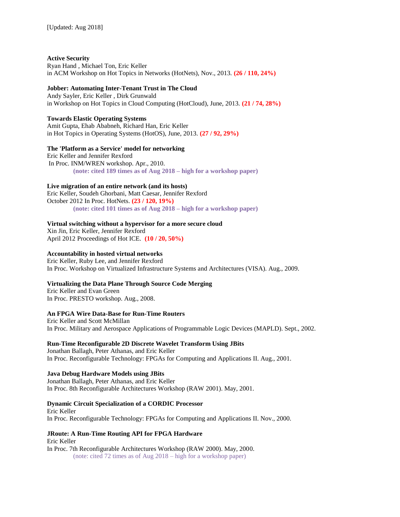**Active Security** Ryan Hand , Michael Ton, Eric Keller in ACM Workshop on Hot Topics in Networks (HotNets), Nov., 2013. **(26 / 110, 24%)**

#### **Jobber: Automating Inter-Tenant Trust in The Cloud**

Andy Sayler, Eric Keller , Dirk Grunwald in Workshop on Hot Topics in Cloud Computing (HotCloud), June, 2013. **(21 / 74, 28%)**

#### **Towards Elastic Operating Systems**

Amit Gupta, Ehab Ababneh, Richard Han, Eric Keller in Hot Topics in Operating Systems (HotOS), June, 2013. **(27 / 92, 29%)**

#### **The 'Platform as a Service' model for networking**

Eric Keller and Jennifer Rexford In Proc. INM/WREN workshop. Apr., 2010.  **(note: cited 189 times as of Aug 2018 – high for a workshop paper)**

#### **Live migration of an entire network (and its hosts)**

Eric Keller, Soudeh Ghorbani, Matt Caesar, Jennifer Rexford October 2012 In Proc. HotNets. **(23 / 120, 19%) (note: cited 101 times as of Aug 2018 – high for a workshop paper)**

#### **Virtual switching without a hypervisor for a more secure cloud**

Xin Jin, Eric Keller, Jennifer Rexford April 2012 Proceedings of Hot ICE. **(10 / 20, 50%)**

#### **Accountability in hosted virtual networks**

Eric Keller, Ruby Lee, and Jennifer Rexford In Proc. Workshop on Virtualized Infrastructure Systems and Architectures (VISA). Aug., 2009.

#### **Virtualizing the Data Plane Through Source Code Merging**

Eric Keller and Evan Green In Proc. PRESTO workshop. Aug., 2008.

#### **An FPGA Wire Data-Base for Run-Time Routers**

Eric Keller and Scott McMillan In Proc. Military and Aerospace Applications of Programmable Logic Devices (MAPLD). Sept., 2002.

#### **Run-Time Reconfigurable 2D Discrete Wavelet Transform Using JBits**

Jonathan Ballagh, Peter Athanas, and Eric Keller In Proc. Reconfigurable Technology: FPGAs for Computing and Applications II. Aug., 2001.

#### **Java Debug Hardware Models using JBits**

Jonathan Ballagh, Peter Athanas, and Eric Keller In Proc. 8th Reconfigurable Architectures Workshop (RAW 2001). May, 2001.

#### **Dynamic Circuit Specialization of a CORDIC Processor**

Eric Keller In Proc. Reconfigurable Technology: FPGAs for Computing and Applications II. Nov., 2000.

**JRoute: A Run-Time Routing API for FPGA Hardware** Eric Keller In Proc. 7th Reconfigurable Architectures Workshop (RAW 2000). May, 2000. (note: cited 72 times as of Aug 2018 – high for a workshop paper)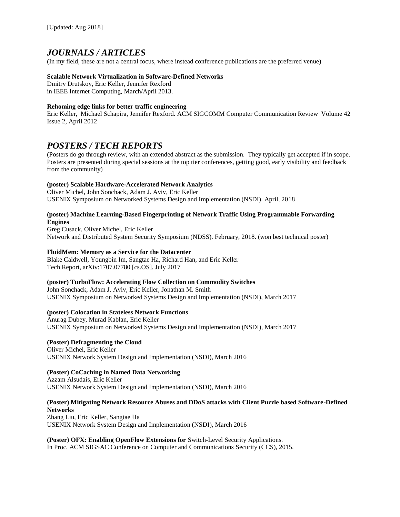## *JOURNALS / ARTICLES*

(In my field, these are not a central focus, where instead conference publications are the preferred venue)

#### **Scalable Network Virtualization in Software-Defined Networks**

Dmitry Drutskoy, Eric Keller, Jennifer Rexford in IEEE Internet Computing, March/April 2013.

#### **Rehoming edge links for better traffic engineering**

Eric Keller, Michael Schapira, Jennifer Rexford. ACM SIGCOMM Computer Communication Review Volume 42 Issue 2, April 2012

### *POSTERS / TECH REPORTS*

(Posters do go through review, with an extended abstract as the submission. They typically get accepted if in scope. Posters are presented during special sessions at the top tier conferences, getting good, early visibility and feedback from the community)

#### **(poster) Scalable Hardware-Accelerated Network Analytics**

Oliver Michel, John Sonchack, Adam J. Aviv, Eric Keller USENIX Symposium on Networked Systems Design and Implementation (NSDI). April, 2018

#### **(poster) Machine Learning-Based Fingerprinting of Network Traffic Using Programmable Forwarding Engines**

Greg Cusack, Oliver Michel, Eric Keller Network and Distributed System Security Symposium (NDSS). February, 2018. (won best technical poster)

#### **FluidMem: Memory as a Service for the Datacenter**

Blake Caldwell, Youngbin Im, Sangtae Ha, Richard Han, and Eric Keller Tech Report, arXiv:1707.07780 [cs.OS]. July 2017

#### **(poster) TurboFlow: Accelerating Flow Collection on Commodity Switches**

John Sonchack, Adam J. Aviv, Eric Keller, Jonathan M. Smith USENIX Symposium on Networked Systems Design and Implementation (NSDI), March 2017

#### **(poster) Colocation in Stateless Network Functions**

Anurag Dubey, Murad Kablan, Eric Keller USENIX Symposium on Networked Systems Design and Implementation (NSDI), March 2017

#### **(Poster) Defragmenting the Cloud**

Oliver Michel, Eric Keller USENIX Network System Design and Implementation (NSDI), March 2016

#### **(Poster) CoCaching in Named Data Networking**

Azzam Alsudais, Eric Keller USENIX Network System Design and Implementation (NSDI), March 2016

#### **(Poster) Mitigating Network Resource Abuses and DDoS attacks with Client Puzzle based Software-Defined Networks**

Zhang Liu, Eric Keller, Sangtae Ha USENIX Network System Design and Implementation (NSDI), March 2016

**(Poster) OFX: Enabling OpenFlow Extensions for** Switch-Level Security Applications. In Proc. ACM SIGSAC Conference on Computer and Communications Security (CCS), 2015.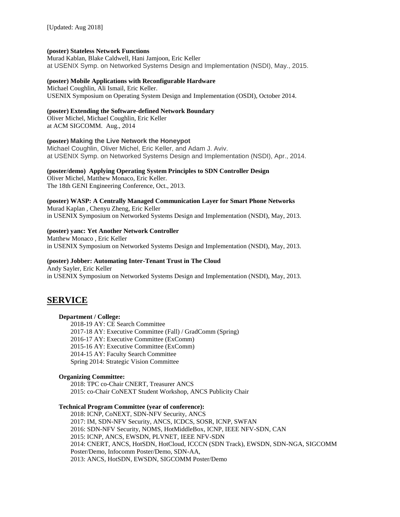#### **(poster) Stateless Network Functions**

Murad Kablan, Blake Caldwell, Hani Jamjoon, Eric Keller at USENIX Symp. on Networked Systems Design and Implementation (NSDI), May., 2015.

#### **(poster) Mobile Applications with Reconfigurable Hardware**

Michael Coughlin, Ali Ismail, Eric Keller. USENIX Symposium on Operating System Design and Implementation (OSDI), October 2014.

#### **(poster) Extending the Software-defined Network Boundary**

Oliver Michel, Michael Coughlin, Eric Keller at ACM SIGCOMM. Aug., 2014

#### **(poster) Making the Live Network the Honeypot**

Michael Coughlin, Oliver Michel, Eric Keller, and Adam J. Aviv. at USENIX Symp. on Networked Systems Design and Implementation (NSDI), Apr., 2014.

#### **(poster/demo) Applying Operating System Principles to SDN Controller Design**

Oliver Michel, Matthew Monaco, Eric Keller. The 18th GENI Engineering Conference, Oct., 2013.

**(poster) WASP: A Centrally Managed Communication Layer for Smart Phone Networks** Murad Kaplan , Chenyu Zheng, Eric Keller in USENIX Symposium on Networked Systems Design and Implementation (NSDI), May, 2013.

#### **(poster) yanc: Yet Another Network Controller**

Matthew Monaco , Eric Keller in USENIX Symposium on Networked Systems Design and Implementation (NSDI), May, 2013.

#### **(poster) Jobber: Automating Inter-Tenant Trust in The Cloud**

Andy Sayler, Eric Keller in USENIX Symposium on Networked Systems Design and Implementation (NSDI), May, 2013.

### **SERVICE**

#### **Department / College:**

2018-19 AY: CE Search Committee 2017-18 AY: Executive Committee (Fall) / GradComm (Spring) 2016-17 AY: Executive Committee (ExComm) 2015-16 AY: Executive Committee (ExComm) 2014-15 AY: Faculty Search Committee Spring 2014: Strategic Vision Committee

#### **Organizing Committee:**

2018: TPC co-Chair CNERT, Treasurer ANCS 2015: co-Chair CoNEXT Student Workshop, ANCS Publicity Chair

#### **Technical Program Committee (year of conference):**

2018: ICNP, CoNEXT, SDN-NFV Security, ANCS 2017: IM, SDN-NFV Security, ANCS, ICDCS, SOSR, ICNP, SWFAN 2016: SDN-NFV Security, NOMS, HotMiddleBox, ICNP, IEEE NFV-SDN, CAN 2015: ICNP, ANCS, EWSDN, PLVNET, IEEE NFV-SDN 2014: CNERT, ANCS, HotSDN, HotCloud, ICCCN (SDN Track), EWSDN, SDN-NGA, SIGCOMM Poster/Demo, Infocomm Poster/Demo, SDN-AA, 2013: ANCS, HotSDN, EWSDN, SIGCOMM Poster/Demo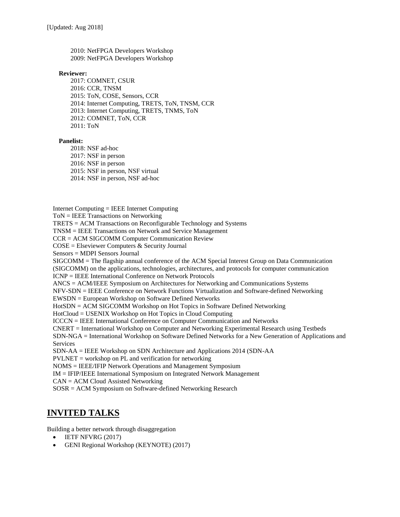2010: NetFPGA Developers Workshop 2009: NetFPGA Developers Workshop

#### **Reviewer:**

2017: COMNET, CSUR 2016: CCR, TNSM 2015: ToN, COSE, Sensors, CCR 2014: Internet Computing, TRETS, ToN, TNSM, CCR 2013: Internet Computing, TRETS, TNMS, ToN 2012: COMNET, ToN, CCR 2011: ToN

#### **Panelist:**

2018: NSF ad-hoc 2017: NSF in person 2016: NSF in person 2015: NSF in person, NSF virtual 2014: NSF in person, NSF ad-hoc

Internet Computing = IEEE Internet Computing

ToN = IEEE Transactions on Networking

TRETS = ACM Transactions on Reconfigurable Technology and Systems

TNSM = IEEE Transactions on Network and Service Management

CCR = ACM SIGCOMM Computer Communication Review

COSE = Elseviewer Computers & Security Journal

Sensors = MDPI Sensors Journal

SIGCOMM = The flagship annual conference of the ACM Special Interest Group on Data Communication (SIGCOMM) on the applications, technologies, architectures, and protocols for computer communication

ICNP = IEEE International Conference on Network Protocols

ANCS = ACM/IEEE Symposium on Architectures for Networking and Communications Systems

NFV-SDN = IEEE Conference on Network Functions Virtualization and Software-defined Networking

EWSDN = European Workshop on Software Defined Networks

HotSDN = ACM SIGCOMM Workshop on Hot Topics in Software Defined Networking

HotCloud = USENIX Workshop on Hot Topics in Cloud Computing

ICCCN = IEEE International Conference on Computer Communication and Networks

CNERT = International Workshop on Computer and Networking Experimental Research using Testbeds

SDN-NGA = International Workshop on Software Defined Networks for a New Generation of Applications and Services

SDN-AA = IEEE Workshop on SDN Architecture and Applications 2014 (SDN-AA

 $PVLNET =$  workshop on PL and verification for networking

NOMS = IEEE/IFIP Network Operations and Management Symposium

IM = IFIP/IEEE International Symposium on Integrated Network Management

CAN = ACM Cloud Assisted Networking

SOSR = ACM Symposium on Software-defined Networking Research

## **INVITED TALKS**

Building a better network through disaggregation

- IETF NFVRG (2017)
- GENI Regional Workshop (KEYNOTE) (2017)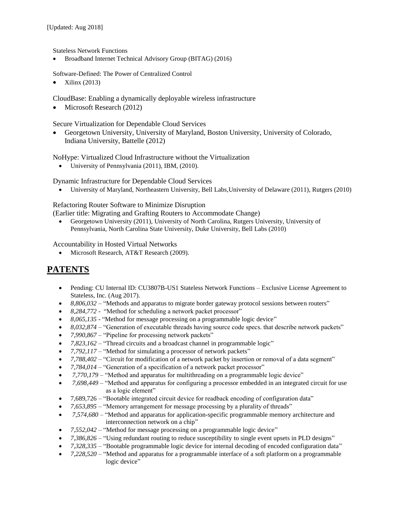Stateless Network Functions

• Broadband Internet Technical Advisory Group (BITAG) (2016)

Software-Defined: The Power of Centralized Control

Xilinx (2013)

CloudBase: Enabling a dynamically deployable wireless infrastructure

• Microsoft Research (2012)

Secure Virtualization for Dependable Cloud Services

 Georgetown University, University of Maryland, Boston University, University of Colorado, Indiana University, Battelle (2012)

NoHype: Virtualized Cloud Infrastructure without the Virtualization

• University of Pennsylvania (2011), IBM, (2010).

Dynamic Infrastructure for Dependable Cloud Services

University of Maryland, Northeastern University, Bell Labs,University of Delaware (2011), Rutgers (2010)

Refactoring Router Software to Minimize Disruption

(Earlier title: Migrating and Grafting Routers to Accommodate Change)

 Georgetown University (2011), University of North Carolina, Rutgers University, University of Pennsylvania, North Carolina State University, Duke University, Bell Labs (2010)

Accountability in Hosted Virtual Networks

• Microsoft Research, AT&T Research (2009).

## **PATENTS**

- Pending: CU Internal ID: CU3807B-US1 Stateless Network Functions Exclusive License Agreement to Stateless, Inc. (Aug 2017).
- 8,806,032 "Methods and apparatus to migrate border gateway protocol sessions between routers"
- *8,284,772* "Method for scheduling a network packet processor"
- *8,065,135* "Method for message processing on a programmable logic device"
- *8,032,874* "Generation of executable threads having source code specs. that describe network packets"
- *7,990,867*  "Pipeline for processing network packets"
- *7,823,162* "Thread circuits and a broadcast channel in programmable logic"
- *7,792,117* "Method for simulating a processor of network packets"
- *7,788,402* "Circuit for modification of a network packet by insertion or removal of a data segment"
- *7,784,014* "Generation of a specification of a network packet processor"
- *7,770,179* "Method and apparatus for multithreading on a programmable logic device"
- 7,698,449 "Method and apparatus for configuring a processor embedded in an integrated circuit for use as a logic element"
- 7,689,726 "Bootable integrated circuit device for readback encoding of configuration data"
- *7,653,895* "Memory arrangement for message processing by a plurality of threads"
- *7,574,680* "Method and apparatus for application-specific programmable memory architecture and interconnection network on a chip"
- *7,552,042* "Method for message processing on a programmable logic device"
- *7,386,826* "Using redundant routing to reduce susceptibility to single event upsets in PLD designs"
- *7,328,335* "Bootable programmable logic device for internal decoding of encoded configuration data"
- *7,228,520* "Method and apparatus for a programmable interface of a soft platform on a programmable logic device"